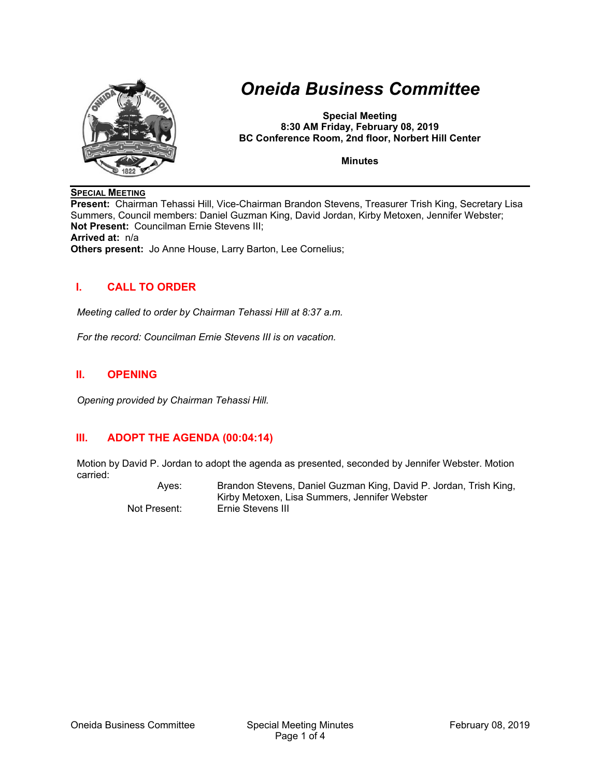

# *Oneida Business Committee*

**Special Meeting 8:30 AM Friday, February 08, 2019 BC Conference Room, 2nd floor, Norbert Hill Center** 

**Minutes** 

#### **SPECIAL MEETING**

**Present:** Chairman Tehassi Hill, Vice-Chairman Brandon Stevens, Treasurer Trish King, Secretary Lisa Summers, Council members: Daniel Guzman King, David Jordan, Kirby Metoxen, Jennifer Webster; **Not Present:** Councilman Ernie Stevens III; **Arrived at:** n/a **Others present:** Jo Anne House, Larry Barton, Lee Cornelius;

#### **I. CALL TO ORDER**

*Meeting called to order by Chairman Tehassi Hill at 8:37 a.m.* 

*For the record: Councilman Ernie Stevens III is on vacation.* 

#### **II. OPENING**

*Opening provided by Chairman Tehassi Hill.* 

## **III. ADOPT THE AGENDA (00:04:14)**

Motion by David P. Jordan to adopt the agenda as presented, seconded by Jennifer Webster. Motion carried:

 Ayes: Brandon Stevens, Daniel Guzman King, David P. Jordan, Trish King, Kirby Metoxen, Lisa Summers, Jennifer Webster Not Present: Ernie Stevens III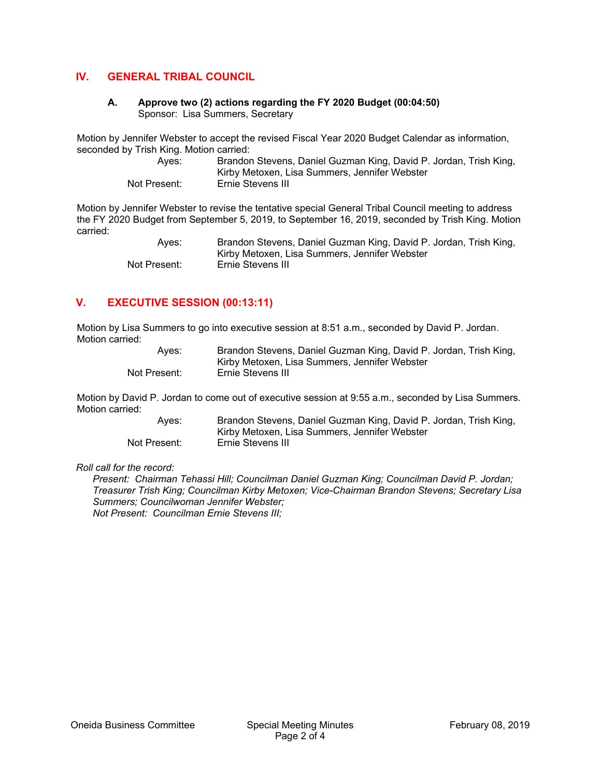#### **IV. GENERAL TRIBAL COUNCIL**

#### **A. Approve two (2) actions regarding the FY 2020 Budget (00:04:50)**  Sponsor: Lisa Summers, Secretary

Motion by Jennifer Webster to accept the revised Fiscal Year 2020 Budget Calendar as information, seconded by Trish King. Motion carried:

| Aves:        | Brandon Stevens, Daniel Guzman King, David P. Jordan, Trish King, |
|--------------|-------------------------------------------------------------------|
|              | Kirby Metoxen, Lisa Summers, Jennifer Webster                     |
| Not Present: | Ernie Stevens III                                                 |

Motion by Jennifer Webster to revise the tentative special General Tribal Council meeting to address the FY 2020 Budget from September 5, 2019, to September 16, 2019, seconded by Trish King. Motion carried:

 Ayes: Brandon Stevens, Daniel Guzman King, David P. Jordan, Trish King, Kirby Metoxen, Lisa Summers, Jennifer Webster Not Present: Ernie Stevens III

## **V. EXECUTIVE SESSION (00:13:11)**

Motion by Lisa Summers to go into executive session at 8:51 a.m., seconded by David P. Jordan. Motion carried:

| Aves:        | Brandon Stevens, Daniel Guzman King, David P. Jordan, Trish King, |
|--------------|-------------------------------------------------------------------|
|              | Kirby Metoxen, Lisa Summers, Jennifer Webster                     |
| Not Present: | Ernie Stevens III                                                 |

Motion by David P. Jordan to come out of executive session at 9:55 a.m., seconded by Lisa Summers. Motion carried:

> Ayes: Brandon Stevens, Daniel Guzman King, David P. Jordan, Trish King, Kirby Metoxen, Lisa Summers, Jennifer Webster Not Present: Ernie Stevens III

*Roll call for the record:* 

*Present: Chairman Tehassi Hill; Councilman Daniel Guzman King; Councilman David P. Jordan; Treasurer Trish King; Councilman Kirby Metoxen; Vice-Chairman Brandon Stevens; Secretary Lisa Summers; Councilwoman Jennifer Webster; Not Present: Councilman Ernie Stevens III;*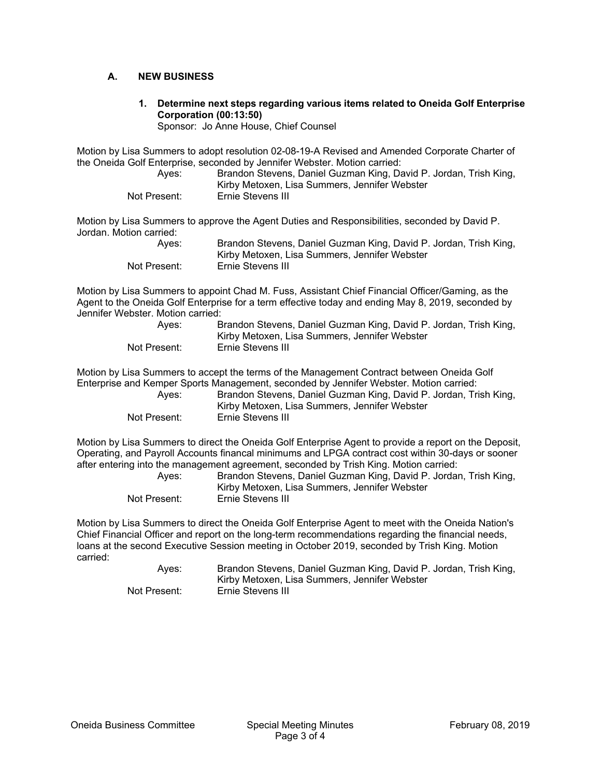#### **A. NEW BUSINESS**

**1. Determine next steps regarding various items related to Oneida Golf Enterprise Corporation (00:13:50)** 

Sponsor: Jo Anne House, Chief Counsel

Motion by Lisa Summers to adopt resolution 02-08-19-A Revised and Amended Corporate Charter of the Oneida Golf Enterprise, seconded by Jennifer Webster. Motion carried:

| Aves:        | Brandon Stevens, Daniel Guzman King, David P. Jordan, Trish King, |
|--------------|-------------------------------------------------------------------|
|              | Kirby Metoxen, Lisa Summers, Jennifer Webster                     |
| Not Present: | Ernie Stevens III                                                 |

Motion by Lisa Summers to approve the Agent Duties and Responsibilities, seconded by David P. Jordan. Motion carried:

| Aves:        | Brandon Stevens, Daniel Guzman King, David P. Jordan, Trish King, |
|--------------|-------------------------------------------------------------------|
|              | Kirby Metoxen, Lisa Summers, Jennifer Webster                     |
| Not Present: | Ernie Stevens III                                                 |

Motion by Lisa Summers to appoint Chad M. Fuss, Assistant Chief Financial Officer/Gaming, as the Agent to the Oneida Golf Enterprise for a term effective today and ending May 8, 2019, seconded by Jennifer Webster. Motion carried:

| Aves:        | Brandon Stevens, Daniel Guzman King, David P. Jordan, Trish King, |
|--------------|-------------------------------------------------------------------|
|              | Kirby Metoxen, Lisa Summers, Jennifer Webster                     |
| Not Present: | Ernie Stevens III                                                 |

Motion by Lisa Summers to accept the terms of the Management Contract between Oneida Golf Enterprise and Kemper Sports Management, seconded by Jennifer Webster. Motion carried:

| Aves:        | Brandon Stevens, Daniel Guzman King, David P. Jordan, Trish King, |
|--------------|-------------------------------------------------------------------|
|              | Kirby Metoxen, Lisa Summers, Jennifer Webster                     |
| Not Present: | Ernie Stevens III                                                 |

Motion by Lisa Summers to direct the Oneida Golf Enterprise Agent to provide a report on the Deposit, Operating, and Payroll Accounts financal minimums and LPGA contract cost within 30-days or sooner after entering into the management agreement, seconded by Trish King. Motion carried:

| Aves:        | Brandon Stevens, Daniel Guzman King, David P. Jordan, Trish King, |
|--------------|-------------------------------------------------------------------|
|              | Kirby Metoxen, Lisa Summers, Jennifer Webster                     |
| Not Present: | Ernie Stevens III                                                 |

Motion by Lisa Summers to direct the Oneida Golf Enterprise Agent to meet with the Oneida Nation's Chief Financial Officer and report on the long-term recommendations regarding the financial needs, loans at the second Executive Session meeting in October 2019, seconded by Trish King. Motion carried:

 Ayes: Brandon Stevens, Daniel Guzman King, David P. Jordan, Trish King, Kirby Metoxen, Lisa Summers, Jennifer Webster Not Present: Ernie Stevens III